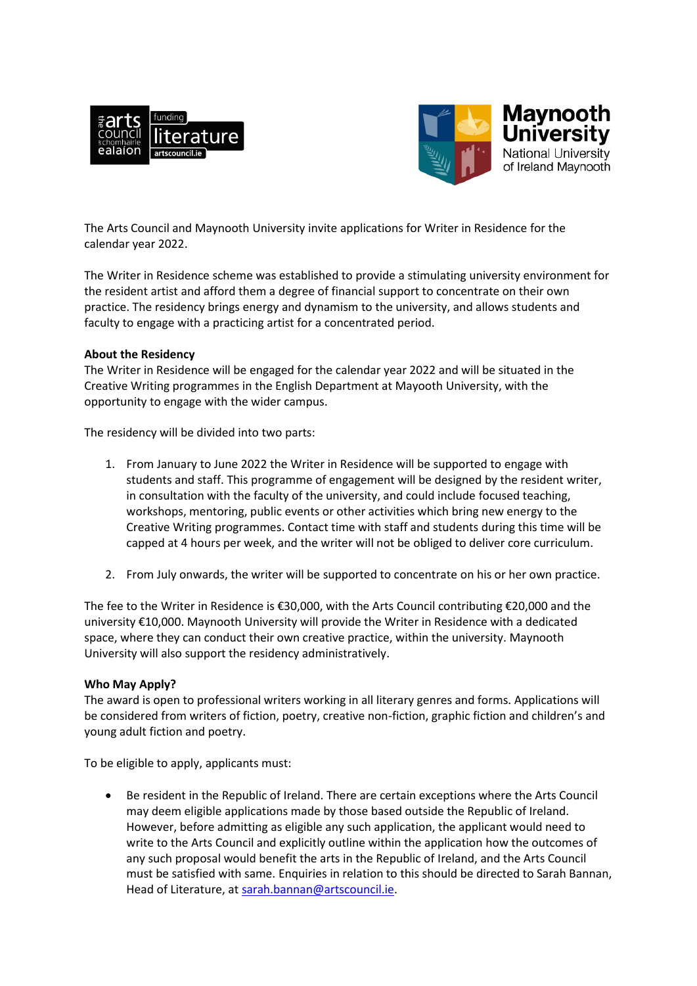



The Arts Council and Maynooth University invite applications for Writer in Residence for the calendar year 2022.

The Writer in Residence scheme was established to provide a stimulating university environment for the resident artist and afford them a degree of financial support to concentrate on their own practice. The residency brings energy and dynamism to the university, and allows students and faculty to engage with a practicing artist for a concentrated period.

## **About the Residency**

The Writer in Residence will be engaged for the calendar year 2022 and will be situated in the Creative Writing programmes in the English Department at Mayooth University, with the opportunity to engage with the wider campus.

The residency will be divided into two parts:

- 1. From January to June 2022 the Writer in Residence will be supported to engage with students and staff. This programme of engagement will be designed by the resident writer, in consultation with the faculty of the university, and could include focused teaching, workshops, mentoring, public events or other activities which bring new energy to the Creative Writing programmes. Contact time with staff and students during this time will be capped at 4 hours per week, and the writer will not be obliged to deliver core curriculum.
- 2. From July onwards, the writer will be supported to concentrate on his or her own practice.

The fee to the Writer in Residence is €30,000, with the Arts Council contributing €20,000 and the university €10,000. Maynooth University will provide the Writer in Residence with a dedicated space, where they can conduct their own creative practice, within the university. Maynooth University will also support the residency administratively.

## **Who May Apply?**

The award is open to professional writers working in all literary genres and forms. Applications will be considered from writers of fiction, poetry, creative non-fiction, graphic fiction and children's and young adult fiction and poetry.

To be eligible to apply, applicants must:

 Be resident in the Republic of Ireland. There are certain exceptions where the Arts Council may deem eligible applications made by those based outside the Republic of Ireland. However, before admitting as eligible any such application, the applicant would need to write to the Arts Council and explicitly outline within the application how the outcomes of any such proposal would benefit the arts in the Republic of Ireland, and the Arts Council must be satisfied with same. Enquiries in relation to this should be directed to Sarah Bannan, Head of Literature, at [sarah.bannan@artscouncil.ie.](mailto:sarah.bannan@artscouncil.ie)